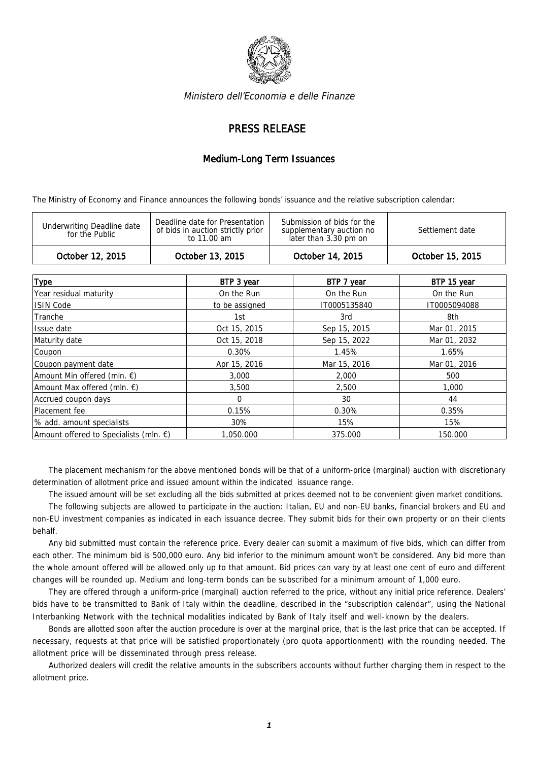

Ministero dell'Economia e delle Finanze

## PRESS RELEASE

## Medium-Long Term Issuances

The Ministry of Economy and Finance announces the following bonds' issuance and the relative subscription calendar:

| Deadline date for Presentation<br>Submission of bids for the<br><b>Underwriting Deadline date</b><br>of bids in auction strictly prior<br>Settlement date<br>supplementary auction no<br>for the Public<br>later than 3.30 pm on<br>to 11.00 am | October 12, 2015 | October 13, 2015 | October 14, 2015 | October 15, 2015 |
|-------------------------------------------------------------------------------------------------------------------------------------------------------------------------------------------------------------------------------------------------|------------------|------------------|------------------|------------------|
|                                                                                                                                                                                                                                                 |                  |                  |                  |                  |

| <b>Type</b>                                      | BTP 3 year     | BTP 7 year   | BTP 15 year  |
|--------------------------------------------------|----------------|--------------|--------------|
| Year residual maturity                           | On the Run     | On the Run   | On the Run   |
| <b>ISIN Code</b>                                 | to be assigned | IT0005135840 | IT0005094088 |
| Tranche                                          | 1st            | 3rd          | 8th          |
| Issue date                                       | Oct 15, 2015   | Sep 15, 2015 | Mar 01, 2015 |
| Maturity date                                    | Oct 15, 2018   | Sep 15, 2022 | Mar 01, 2032 |
| Coupon                                           | $0.30\%$       | 1.45%        | 1.65%        |
| Coupon payment date                              | Apr 15, 2016   | Mar 15, 2016 | Mar 01, 2016 |
| Amount Min offered (mln. €)                      | 3,000          | 2,000        | 500          |
| Amount Max offered (mln. €)                      | 3,500          | 2,500        | 1,000        |
| Accrued coupon days                              | $\Omega$       | 30           | 44           |
| Placement fee                                    | 0.15%          | 0.30%        | 0.35%        |
| % add. amount specialists                        | 30%            | 15%          | 15%          |
| Amount offered to Specialists (mln. $\epsilon$ ) | 1,050,000      | 375.000      | 150.000      |

The placement mechanism for the above mentioned bonds will be that of a uniform-price (marginal) auction with discretionary determination of allotment price and issued amount within the indicated issuance range.

The issued amount will be set excluding all the bids submitted at prices deemed not to be convenient given market conditions.

The following subjects are allowed to participate in the auction: Italian, EU and non-EU banks, financial brokers and EU and non-EU investment companies as indicated in each issuance decree. They submit bids for their own property or on their clients behalf.

Any bid submitted must contain the reference price. Every dealer can submit a maximum of five bids, which can differ from each other. The minimum bid is 500,000 euro. Any bid inferior to the minimum amount won't be considered. Any bid more than the whole amount offered will be allowed only up to that amount. Bid prices can vary by at least one cent of euro and different changes will be rounded up. Medium and long-term bonds can be subscribed for a minimum amount of 1,000 euro.

They are offered through a uniform-price (marginal) auction referred to the price, without any initial price reference. Dealers' bids have to be transmitted to Bank of Italy within the deadline, described in the "subscription calendar", using the National Interbanking Network with the technical modalities indicated by Bank of Italy itself and well-known by the dealers.

Bonds are allotted soon after the auction procedure is over at the marginal price, that is the last price that can be accepted. If necessary, requests at that price will be satisfied proportionately (pro quota apportionment) with the rounding needed. The allotment price will be disseminated through press release.

Authorized dealers will credit the relative amounts in the subscribers accounts without further charging them in respect to the allotment price.